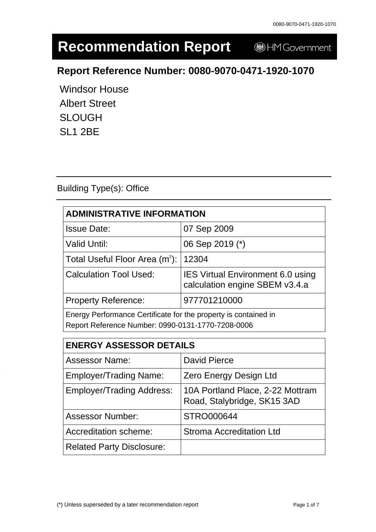# **Recommendation Report**

HM Government

# **Report Reference Number: 0080-9070-0471-1920-1070**

Windsor House Albert Street SLOUGH SL1 2BE

### Building Type(s): Office

| <b>ADMINISTRATIVE INFORMATION</b>                                                                                    |                                                                            |  |
|----------------------------------------------------------------------------------------------------------------------|----------------------------------------------------------------------------|--|
| <b>Issue Date:</b>                                                                                                   | 07 Sep 2009                                                                |  |
| <b>Valid Until:</b>                                                                                                  | 06 Sep 2019 (*)                                                            |  |
| Total Useful Floor Area $(m^2)$ :                                                                                    | 12304                                                                      |  |
| <b>Calculation Tool Used:</b>                                                                                        | <b>IES Virtual Environment 6.0 using</b><br>calculation engine SBEM v3.4.a |  |
| <b>Property Reference:</b>                                                                                           | 977701210000                                                               |  |
| Energy Performance Certificate for the property is contained in<br>Report Reference Number: 0990-0131-1770-7208-0006 |                                                                            |  |

| <b>ENERGY ASSESSOR DETAILS</b>   |                                                                 |  |
|----------------------------------|-----------------------------------------------------------------|--|
| <b>Assessor Name:</b>            | <b>David Pierce</b>                                             |  |
| <b>Employer/Trading Name:</b>    | <b>Zero Energy Design Ltd</b>                                   |  |
| <b>Employer/Trading Address:</b> | 10A Portland Place, 2-22 Mottram<br>Road, Stalybridge, SK15 3AD |  |
| <b>Assessor Number:</b>          | STRO000644                                                      |  |
| Accreditation scheme:            | <b>Stroma Accreditation Ltd</b>                                 |  |
| <b>Related Party Disclosure:</b> |                                                                 |  |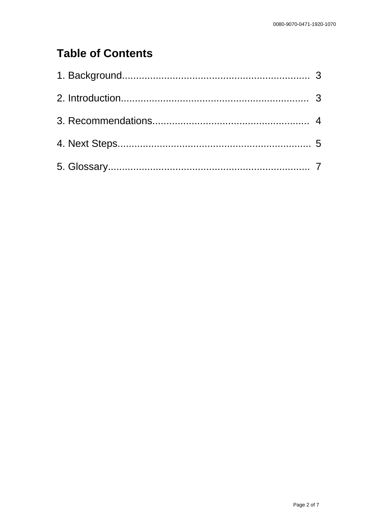# **Table of Contents**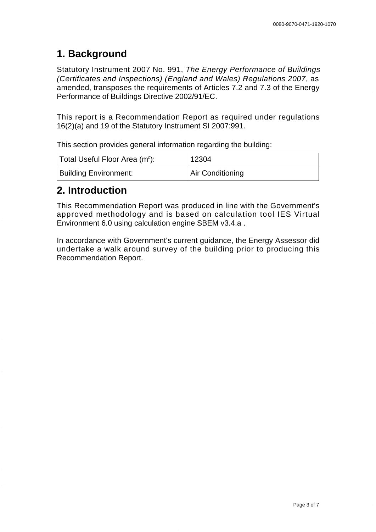# **1. Background**

Statutory Instrument 2007 No. 991, The Energy Performance of Buildings (Certificates and Inspections) (England and Wales) Regulations 2007, as amended, transposes the requirements of Articles 7.2 and 7.3 of the Energy Performance of Buildings Directive 2002/91/EC.

This report is a Recommendation Report as required under regulations 16(2)(a) and 19 of the Statutory Instrument SI 2007:991.

This section provides general information regarding the building:

| Total Useful Floor Area (m <sup>2</sup> ): | 12304            |
|--------------------------------------------|------------------|
| <b>Building Environment:</b>               | Air Conditioning |

### **2. Introduction**

This Recommendation Report was produced in line with the Government's approved methodology and is based on calculation tool IES Virtual Environment 6.0 using calculation engine SBEM v3.4.a .

In accordance with Government's current guidance, the Energy Assessor did undertake a walk around survey of the building prior to producing this Recommendation Report.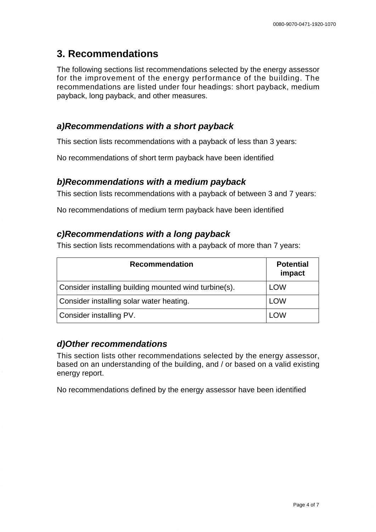# **3. Recommendations**

The following sections list recommendations selected by the energy assessor for the improvement of the energy performance of the building. The recommendations are listed under four headings: short payback, medium payback, long payback, and other measures.

#### **a) Recommendations with a short payback**

This section lists recommendations with a payback of less than 3 years:

No recommendations of short term payback have been identified

#### **b) Recommendations with a medium payback**

This section lists recommendations with a payback of between 3 and 7 years:

No recommendations of medium term payback have been identified

#### **c) Recommendations with a long payback**

This section lists recommendations with a payback of more than 7 years:

| <b>Recommendation</b>                                 | <b>Potential</b><br>impact |
|-------------------------------------------------------|----------------------------|
| Consider installing building mounted wind turbine(s). | <b>LOW</b>                 |
| Consider installing solar water heating.              | <b>LOW</b>                 |
| Consider installing PV.                               | LOW                        |

#### **d) Other recommendations**

This section lists other recommendations selected by the energy assessor, based on an understanding of the building, and / or based on a valid existing energy report.

No recommendations defined by the energy assessor have been identified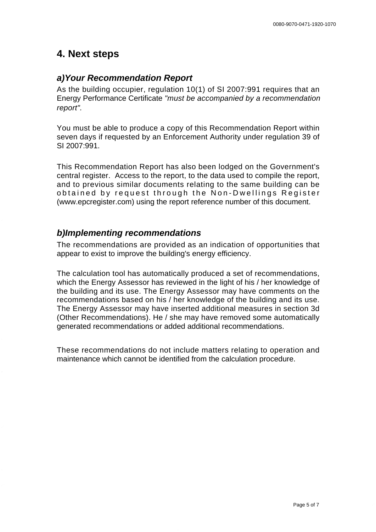#### **4. Next steps**

#### **a) Your Recommendation Report**

As the building occupier, regulation 10(1) of SI 2007:991 requires that an Energy Performance Certificate "must be accompanied by a recommendation report".

You must be able to produce a copy of this Recommendation Report within seven days if requested by an Enforcement Authority under regulation 39 of SI 2007:991.

This Recommendation Report has also been lodged on the Government's central register. Access to the report, to the data used to compile the report, and to previous similar documents relating to the same building can be obtained by request through the Non-Dwellings Register [\(www.epcregister.com\)](http://www.epcregister.com) using the report reference number of this document.

#### **b) Implementing recommendations**

The recommendations are provided as an indication of opportunities that appear to exist to improve the building's energy efficiency.

The calculation tool has automatically produced a set of recommendations, which the Energy Assessor has reviewed in the light of his / her knowledge of the building and its use. The Energy Assessor may have comments on the recommendations based on his / her knowledge of the building and its use. The Energy Assessor may have inserted additional measures in section 3d (Other Recommendations). He / she may have removed some automatically generated recommendations or added additional recommendations.

These recommendations do not include matters relating to operation and maintenance which cannot be identified from the calculation procedure.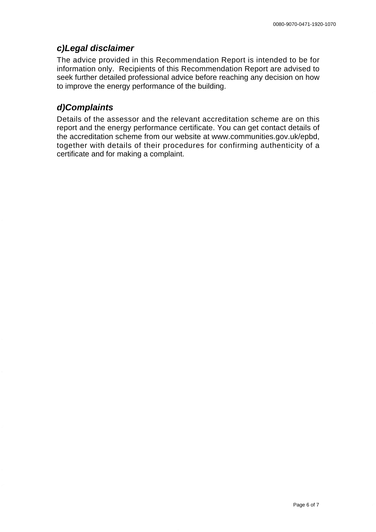#### **c) Legal disclaimer**

The advice provided in this Recommendation Report is intended to be for information only. Recipients of this Recommendation Report are advised to seek further detailed professional advice before reaching any decision on how to improve the energy performance of the building.

#### **d) Complaints**

Details of the assessor and the relevant accreditation scheme are on this report and the energy performance certificate. You can get contact details of the accreditation scheme from our website [at www.communities.gov.uk/epbd,](http://www.communities.gov.uk/epbd) together with details of their procedures for confirming authenticity of a certificate and for making a complaint.